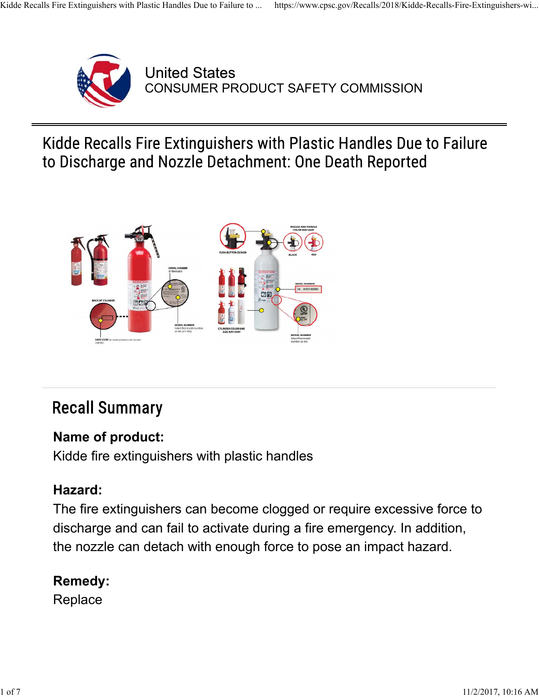

**United States** CONSUMER PRODUCT SAFETY COMMISSION

Kidde Recalls Fire Extinguishers with Plastic Handles Due to Failure to Discharge and Nozzle Detachment: One Death Reported



# **Recall Summary**

#### **Name of product:**

Kidde fire extinguishers with plastic handles

#### **Hazard:**

The fire extinguishers can become clogged or require excessive force to discharge and can fail to activate during a fire emergency. In addition, the nozzle can detach with enough force to pose an impact hazard.

#### **Remedy:**

**Replace**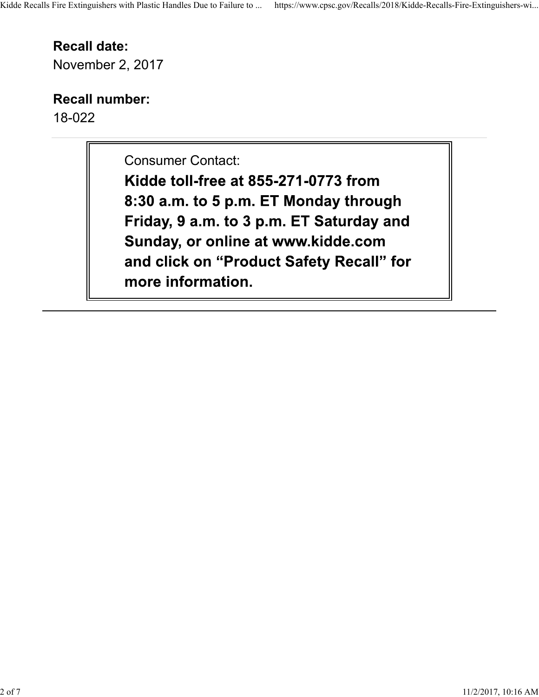# **Recall date:**

November 2, 2017

## **Recall number:**

18-022

Consumer Contact:

Kidde toll-free at 855-271-0773 from 8:30 a.m. to 5 p.m. ET Monday through Friday, 9 a.m. to 3 p.m. ET Saturday and Sunday, or online at www.kidde.com and click on "Product Safety Recall" for more information.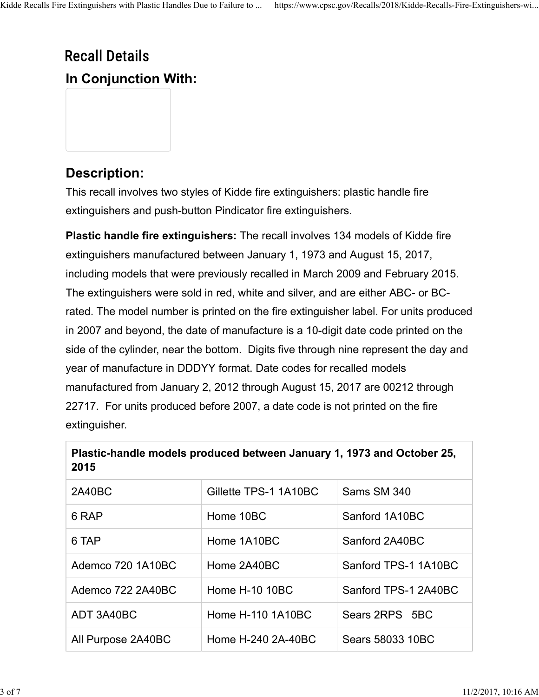# **Recall Details In Conjunction With:**

### **Description:**

This recall involves two styles of Kidde fire extinguishers: plastic handle fire extinguishers and push-button Pindicator fire extinguishers.

**Plastic handle fire extinguishers:** The recall involves 134 models of Kidde fire extinguishers manufactured between January 1, 1973 and August 15, 2017, including models that were previously recalled in March 2009 and February 2015. The extinguishers were sold in red, white and silver, and are either ABC- or BCrated. The model number is printed on the fire extinguisher label. For units produced in 2007 and beyond, the date of manufacture is a 10-digit date code printed on the side of the cylinder, near the bottom. Digits five through nine represent the day and year of manufacture in DDDYY format. Date codes for recalled models manufactured from January 2, 2012 through August 15, 2017 are 00212 through 22717. For units produced before 2007, a date code is not printed on the fire extinguisher.

| 2015               |                       |                      |
|--------------------|-----------------------|----------------------|
| 2A40BC             | Gillette TPS-1 1A10BC | Sams SM 340          |
| 6 RAP              | Home 10BC             | Sanford 1A10BC       |
| 6 TAP              | Home 1A10BC           | Sanford 2A40BC       |
| Ademco 720 1A10BC  | Home 2A40BC           | Sanford TPS-1 1A10BC |
| Ademco 722 2A40BC  | Home H-10 10BC        | Sanford TPS-1 2A40BC |
| ADT 3A40BC         | Home H-110 1A10BC     | Sears 2RPS 5BC       |
| All Purpose 2A40BC | Home H-240 2A-40BC    | Sears 58033 10BC     |

| Plastic-handle models produced between January 1, 1973 and October 25, |  |
|------------------------------------------------------------------------|--|
| 2015                                                                   |  |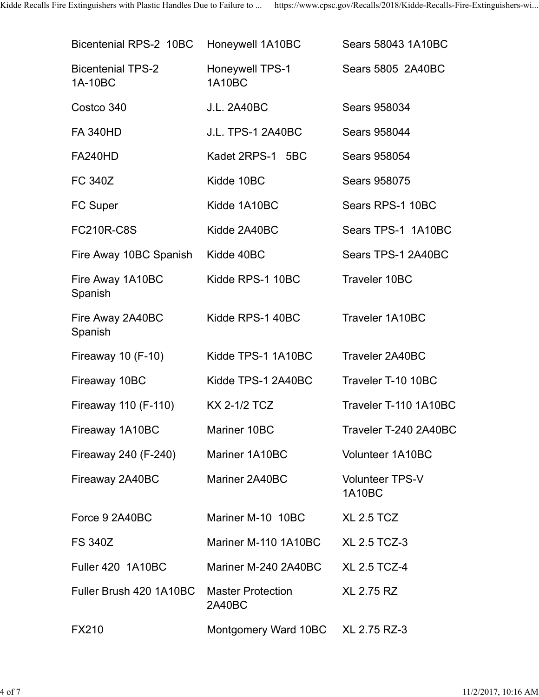| Bicentenial RPS-2 10BC              | Honeywell 1A10BC                        | Sears 58043 1A10BC                      |
|-------------------------------------|-----------------------------------------|-----------------------------------------|
| <b>Bicentenial TPS-2</b><br>1A-10BC | <b>Honeywell TPS-1</b><br><b>1A10BC</b> | Sears 5805 2A40BC                       |
| Costco 340                          | <b>J.L. 2A40BC</b>                      | Sears 958034                            |
| <b>FA 340HD</b>                     | <b>J.L. TPS-1 2A40BC</b>                | Sears 958044                            |
| <b>FA240HD</b>                      | Kadet 2RPS-1 5BC                        | Sears 958054                            |
| <b>FC 340Z</b>                      | Kidde 10BC                              | <b>Sears 958075</b>                     |
| <b>FC Super</b>                     | Kidde 1A10BC                            | Sears RPS-1 10BC                        |
| <b>FC210R-C8S</b>                   | Kidde 2A40BC                            | Sears TPS-1 1A10BC                      |
| Fire Away 10BC Spanish              | Kidde 40BC                              | Sears TPS-1 2A40BC                      |
| Fire Away 1A10BC<br>Spanish         | Kidde RPS-1 10BC                        | <b>Traveler 10BC</b>                    |
| Fire Away 2A40BC<br>Spanish         | Kidde RPS-1 40BC                        | Traveler 1A10BC                         |
| Fireaway 10 (F-10)                  | Kidde TPS-1 1A10BC                      | Traveler 2A40BC                         |
| Fireaway 10BC                       | Kidde TPS-1 2A40BC                      | Traveler T-10 10BC                      |
| Fireaway 110 (F-110)                | <b>KX 2-1/2 TCZ</b>                     | Traveler T-110 1A10BC                   |
| Fireaway 1A10BC                     | Mariner 10BC                            | Traveler T-240 2A40BC                   |
| Fireaway 240 (F-240)                | Mariner 1A10BC                          | Volunteer 1A10BC                        |
| Fireaway 2A40BC                     | Mariner 2A40BC                          | <b>Volunteer TPS-V</b><br><b>1A10BC</b> |
| Force 9 2A40BC                      | Mariner M-10 10BC                       | <b>XL 2.5 TCZ</b>                       |
| <b>FS 340Z</b>                      | Mariner M-110 1A10BC                    | <b>XL 2.5 TCZ-3</b>                     |
| <b>Fuller 420 1A10BC</b>            | Mariner M-240 2A40BC                    | <b>XL 2.5 TCZ-4</b>                     |
| Fuller Brush 420 1A10BC             | <b>Master Protection</b><br>2A40BC      | <b>XL 2.75 RZ</b>                       |
| <b>FX210</b>                        | Montgomery Ward 10BC                    | XL 2.75 RZ-3                            |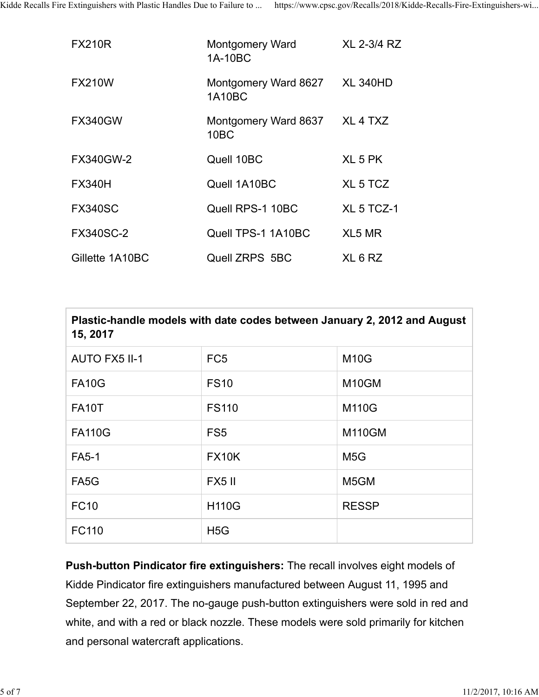| <b>FX210R</b>    | Montgomery Ward<br>1A-10BC     | XL 2-3/4 RZ                     |
|------------------|--------------------------------|---------------------------------|
| <b>FX210W</b>    | Montgomery Ward 8627<br>1A10BC | <b>XL 340HD</b>                 |
| <b>FX340GW</b>   | Montgomery Ward 8637<br>10BC   | XL <sub>4</sub> T <sub>XZ</sub> |
| <b>FX340GW-2</b> | Quell 10BC                     | XL 5 PK                         |
| <b>FX340H</b>    | Quell 1A10BC                   | XL 5 TCZ                        |
| <b>FX340SC</b>   | Quell RPS-1 10BC               | XL 5 TCZ-1                      |
| <b>FX340SC-2</b> | Quell TPS-1 1A10BC             | XL5 MR                          |
| Gillette 1A10BC  | Quell ZRPS 5BC                 | XL 6 RZ                         |

| Plastic-handle models with date codes between January 2, 2012 and August<br>15, 2017 |                  |                    |  |
|--------------------------------------------------------------------------------------|------------------|--------------------|--|
| <b>AUTO FX5 II-1</b>                                                                 | FC <sub>5</sub>  | <b>M10G</b>        |  |
| <b>FA10G</b>                                                                         | <b>FS10</b>      | M <sub>10</sub> GM |  |
| <b>FA10T</b>                                                                         | <b>FS110</b>     | M110G              |  |
| <b>FA110G</b>                                                                        | FS <sub>5</sub>  | <b>M110GM</b>      |  |
| <b>FA5-1</b>                                                                         | <b>FX10K</b>     | M <sub>5</sub> G   |  |
| FA <sub>5</sub> G                                                                    | <b>FX5 II</b>    | M <sub>5</sub> GM  |  |
| <b>FC10</b>                                                                          | <b>H110G</b>     | <b>RESSP</b>       |  |
| <b>FC110</b>                                                                         | H <sub>5</sub> G |                    |  |

**Push-button Pindicator fire extinguishers:** The recall involves eight models of Kidde Pindicator fire extinguishers manufactured between August 11, 1995 and September 22, 2017. The no-gauge push-button extinguishers were sold in red and white, and with a red or black nozzle. These models were sold primarily for kitchen and personal watercraft applications.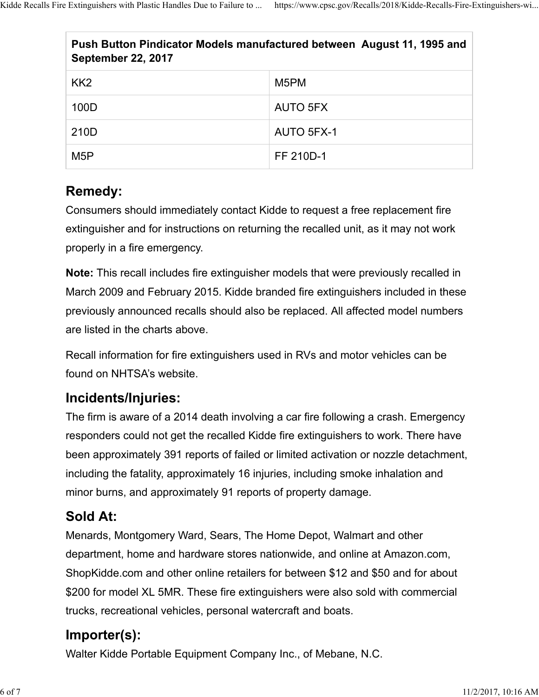| Push Button Pindicator Models manufactured between August 11, 1995 and<br><b>September 22, 2017</b> |                   |  |
|-----------------------------------------------------------------------------------------------------|-------------------|--|
| KK <sub>2</sub>                                                                                     | M <sub>5</sub> PM |  |
| 100D                                                                                                | AUTO 5FX          |  |
| 210D                                                                                                | AUTO 5FX-1        |  |
| M5P                                                                                                 | FF 210D-1         |  |

# **Remedy:**

Consumers should immediately contact Kidde to request a free replacement fire extinguisher and for instructions on returning the recalled unit, as it may not work properly in a fire emergency.

**Note:** This recall includes fire extinguisher models that were previously recalled in March 2009 and February 2015. Kidde branded fire extinguishers included in these previously announced recalls should also be replaced. All affected model numbers are listed in the charts above.

Recall information for fire extinguishers used in RVs and motor vehicles can be found on NHTSA's website.

#### **Incidents/Injuries:**

The firm is aware of a 2014 death involving a car fire following a crash. Emergency responders could not get the recalled Kidde fire extinguishers to work. There have been approximately 391 reports of failed or limited activation or nozzle detachment, including the fatality, approximately 16 injuries, including smoke inhalation and minor burns, and approximately 91 reports of property damage.

#### **Sold At:**

Menards, Montgomery Ward, Sears, The Home Depot, Walmart and other department, home and hardware stores nationwide, and online at Amazon.com, ShopKidde.com and other online retailers for between \$12 and \$50 and for about \$200 for model XL 5MR. These fire extinguishers were also sold with commercial trucks, recreational vehicles, personal watercraft and boats.

# **Importer(s):**

Walter Kidde Portable Equipment Company Inc., of Mebane, N.C.